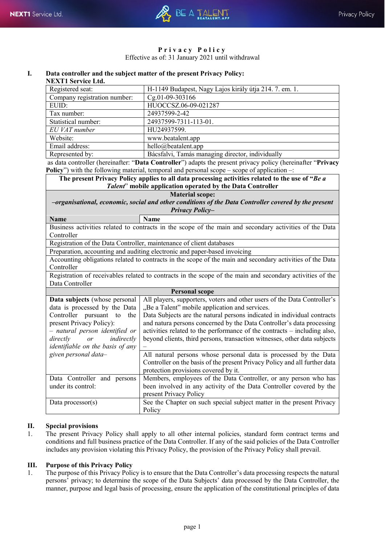

### **Privacy Policy** Effective as of: 31 January 2021 until withdrawal

#### **I. Data controller and the subject matter of the present Privacy Policy: NEXT1 Service Ltd.**

| гелт гэсгүнд бий.            |                                                        |
|------------------------------|--------------------------------------------------------|
| Registered seat:             | H-1149 Budapest, Nagy Lajos király útja 214. 7. em. 1. |
| Company registration number: | Cg.01-09-303166                                        |
| EUID:                        | HUOCCSZ.06-09-021287                                   |
| Tax number:                  | 24937599-2-42                                          |
| Statistical number:          | 24937599-7311-113-01.                                  |
| EU VAT number                | HU24937599.                                            |
| Website:                     | www.beatalent.app                                      |
| Email address:               | hello@beatlent.append                                  |
| Represented by:              | Bácsfalvi, Tamás managing director, individually       |

as data controller (hereinafter: "**Data Controller**") adapts the present privacy policy (hereinafter "**Privacy Policy**") with the following material, temporal and personal scope – scope of application –:

| The present Privacy Policy applies to all data processing activities related to the use of "Be a |
|--------------------------------------------------------------------------------------------------|
| <i>Talent</i> " mobile application operated by the Data Controller                               |

### **Material scope:**

*–organisational, economic, social and other conditions of the Data Controller covered by the present Privacy Policy–*

| <b>Name</b> | <b>Name</b>                                                                                            |
|-------------|--------------------------------------------------------------------------------------------------------|
|             | Business activities related to contracts in the scope of the main and secondary activities of the Data |
| Controller  |                                                                                                        |

Registration of the Data Controller, maintenance of client databases

Preparation, accounting and auditing electronic and paper-based invoicing

Accounting obligations related to contracts in the scope of the main and secondary activities of the Data Controller

Registration of receivables related to contracts in the scope of the main and secondary activities of the Data Controller

|                                         | <b>Personal scope</b>                                                      |
|-----------------------------------------|----------------------------------------------------------------------------|
| Data subjects (whose personal           | All players, supporters, voters and other users of the Data Controller's   |
| data is processed by the Data           | "Be a Talent" mobile application and services.                             |
| Controller<br>pursuant to<br>the        | Data Subjects are the natural persons indicated in individual contracts    |
| present Privacy Policy):                | and natura persons concerned by the Data Controller's data processing      |
| - natural person identified or          | activities related to the performance of the contracts – including also,   |
| indirectly<br>directly<br>or            | beyond clients, third persons, transaction witnesses, other data subjects  |
| <i>identifiable on the basis of any</i> |                                                                            |
| given personal data-                    | All natural persons whose personal data is processed by the Data           |
|                                         | Controller on the basis of the present Privacy Policy and all further data |
|                                         | protection provisions covered by it.                                       |
| Data Controller and persons             | Members, employees of the Data Controller, or any person who has           |
| under its control:                      | been involved in any activity of the Data Controller covered by the        |
|                                         | present Privacy Policy                                                     |
| Data processor(s)                       | See the Chapter on such special subject matter in the present Privacy      |
|                                         | Policy                                                                     |

### **II. Special provisions**

1. The present Privacy Policy shall apply to all other internal policies, standard form contract terms and conditions and full business practice of the Data Controller. If any of the said policies of the Data Controller includes any provision violating this Privacy Policy, the provision of the Privacy Policy shall prevail.

### **III. Purpose of this Privacy Policy**

1. The purpose of this Privacy Policy is to ensure that the Data Controller's data processing respects the natural persons' privacy; to determine the scope of the Data Subjects' data processed by the Data Controller, the manner, purpose and legal basis of processing, ensure the application of the constitutional principles of data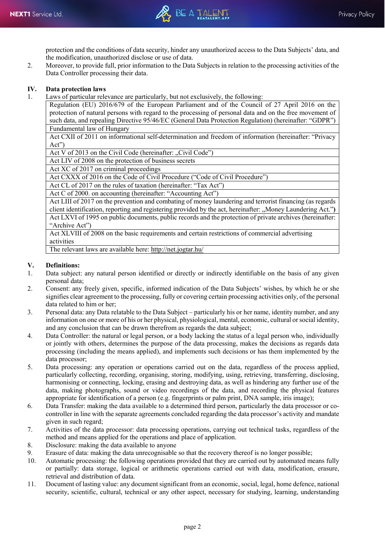protection and the conditions of data security, hinder any unauthorized access to the Data Subjects' data, and the modification, unauthorized disclose or use of data.

2. Moreover, to provide full, prior information to the Data Subjects in relation to the processing activities of the Data Controller processing their data.

# **IV. Data protection laws**

Laws of particular relevance are particularly, but not exclusively, the following:

Regulation (EU) 2016/679 of the European Parliament and of the Council of 27 April 2016 on the protection of natural persons with regard to the processing of personal data and on the free movement of such data, and repealing Directive 95/46/EC (General Data Protection Regulation) (hereinafter: "GDPR") Fundamental law of Hungary

Act CXII of 2011 on informational self-determination and freedom of information (hereinafter: "Privacy Act")

Act V of 2013 on the Civil Code (hereinafter: "Civil Code")

Act LIV of 2008 on the protection of business secrets

Act XC of 2017 on criminal proceedings

Act CXXX of 2016 on the Code of Civil Procedure ("Code of Civil Procedure")

Act CL of 2017 on the rules of taxation (hereinafter: "Tax Act")

Act C of 2000. on accounting (hereinafter: "Accounting Act")

Act LIII of 2017 on the prevention and combating of money laundering and terrorist financing (as regards client identification, reporting and registering provided by the act, hereinafter: "Money Laundering Act.") Act LXVI of 1995 on public documents, public records and the protection of private archives (hereinafter: "Archive Act")

Act XLVIII of 2008 on the basic requirements and certain restrictions of commercial advertising activities

The relevant laws are available here: <http://net.jogtar.hu/>

## **V. Definitions:**

- Data subject: any natural person identified or directly or indirectly identifiable on the basis of any given personal data;
- 2. Consent: any freely given, specific, informed indication of the Data Subjects' wishes, by which he or she signifies clear agreement to the processing, fully or covering certain processing activities only, of the personal data related to him or her;
- 3. Personal data: any Data relatable to the Data Subject particularly his or her name, identity number, and any information on one or more of his or her physical, physiological, mental, economic, cultural or social identity, and any conclusion that can be drawn therefrom as regards the data subject;
- 4. Data Controller: the natural or legal person, or a body lacking the status of a legal person who, individually or jointly with others, determines the purpose of the data processing, makes the decisions as regards data processing (including the means applied), and implements such decisions or has them implemented by the data processor;
- 5. Data processing: any operation or operations carried out on the data, regardless of the process applied, particularly collecting, recording, organising, storing, modifying, using, retrieving, transferring, disclosing, harmonising or connecting, locking, erasing and destroying data, as well as hindering any further use of the data, making photographs, sound or video recordings of the data, and recording the physical features appropriate for identification of a person (e.g. fingerprints or palm print, DNA sample, iris image);
- 6. Data Transfer: making the data available to a determined third person, particularly the data processor or cocontroller in line with the separate agreements concluded regarding the data processor's activity and mandate given in such regard;
- 7. Activities of the data processor: data processing operations, carrying out technical tasks, regardless of the method and means applied for the operations and place of application.
- 8. Disclosure: making the data available to anyone
- 9. Erasure of data: making the data unrecognisable so that the recovery thereof is no longer possible;
- 10. Automatic processing: the following operations provided that they are carried out by automated means fully or partially: data storage, logical or arithmetic operations carried out with data, modification, erasure, retrieval and distribution of data.
- 11. Document of lasting value: any document significant from an economic, social, legal, home defence, national security, scientific, cultural, technical or any other aspect, necessary for studying, learning, understanding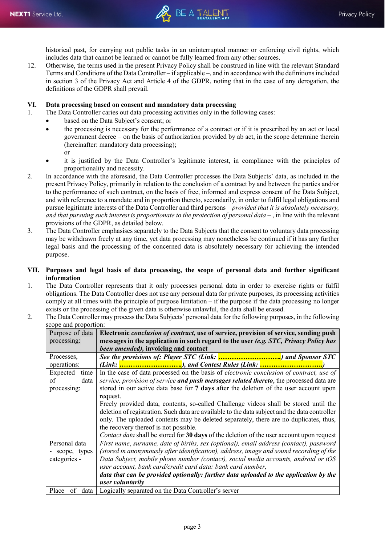historical past, for carrying out public tasks in an uninterrupted manner or enforcing civil rights, which includes data that cannot be learned or cannot be fully learned from any other sources.

12. Otherwise, the terms used in the present Privacy Policy shall be construed in line with the relevant Standard Terms and Conditions of the Data Controller – if applicable –, and in accordance with the definitions included in section 3 of the Privacy Act and Article 4 of the GDPR, noting that in the case of any derogation, the definitions of the GDPR shall prevail.

### **VI. Data processing based on consent and mandatory data processing**

1. The Data Controller caries out data processing activities only in the following cases:

- based on the Data Subject's consent; or
	- the processing is necessary for the performance of a contract or if it is prescribed by an act or local government decree – on the basis of authorization provided by ab act, in the scope determine therein (hereinafter: mandatory data processing); or
	- it is justified by the Data Controller's legitimate interest, in compliance with the principles of proportionality and necessity.
- 2. In accordance with the aforesaid, the Data Controller processes the Data Subjects' data, as included in the present Privacy Policy, primarily in relation to the conclusion of a contract by and between the parties and/or to the performance of such contract, on the basis of free, informed and express consent of the Data Subject, and with reference to a mandate and in proportion thereto, secondarily, in order to fulfil legal obligations and pursue legitimate interests of the Data Controller and third persons – *provided that it is absolutely necessary,*  and that pursuing such interest is proportionate to the protection of personal data  $-$ , in line with the relevant provisions of the GDPR, as detailed below.
- 3. The Data Controller emphasises separately to the Data Subjects that the consent to voluntary data processing may be withdrawn freely at any time, yet data processing may nonetheless be continued if it has any further legal basis and the processing of the concerned data is absolutely necessary for achieving the intended purpose.

### **VII. Purposes and legal basis of data processing, the scope of personal data and further significant information**

- 1. The Data Controller represents that it only processes personal data in order to exercise rights or fulfil obligations. The Data Controller does not use any personal data for private purposes, its processing activities comply at all times with the principle of purpose limitation – if the purpose if the data processing no longer exists or the processing of the given data is otherwise unlawful, the data shall be erased.
- 2. The Data Controller may process the Data Subjects' personal data for the following purposes, in the following scope and proportion:

| scope and proportion. |                                                                                               |
|-----------------------|-----------------------------------------------------------------------------------------------|
| Purpose of data       | Electronic conclusion of contract, use of service, provision of service, sending push         |
| processing:           | messages in the application in such regard to the user (e.g. STC, Privacy Policy has          |
|                       | been amended), invoicing and contact                                                          |
| Processes,            | See the provisions of: Player STC (Link: ) and Sponsor STC                                    |
| operations:           | (Link: ), and Contest Rules (Link: )                                                          |
| Expected<br>time      | In the case of data processed on the basis of electronic conclusion of contract, use of       |
| data<br>of            | service, provision of service and push messages related thereto, the processed data are       |
| processing:           | stored in our active data base for 7 days after the deletion of the user account upon         |
|                       | request.                                                                                      |
|                       | Freely provided data, contents, so-called Challenge videos shall be stored until the          |
|                       | deletion of registration. Such data are available to the data subject and the data controller |
|                       | only. The uploaded contents may be deleted separately, there are no duplicates, thus,         |
|                       | the recovery thereof is not possible.                                                         |
|                       | Contact data shall be stored for 30 days of the deletion of the user account upon request     |
| Personal data         | First name, surname, date of births, sex (optional), email address (contact), password        |
| - scope, types        | (stored in anonymously after identification), address, image and sound recording of the       |
| categories -          | Data Subject, mobile phone number (contact), social media accounts, android or iOS            |
|                       | user account, bank card/credit card data: bank card number,                                   |
|                       | data that can be provided optionally: further data uploaded to the application by the         |
|                       | user voluntarily                                                                              |
| Place of data         | Logically separated on the Data Controller's server                                           |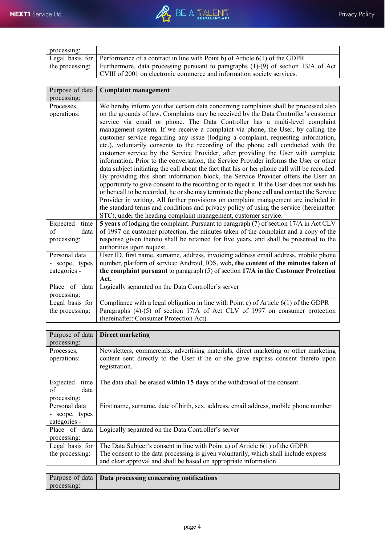| processing: |                                                                                                      |
|-------------|------------------------------------------------------------------------------------------------------|
|             | Legal basis for Performance of a contract in line with Point b) of Article $6(1)$ of the GDPR        |
|             | the processing: Furthermore, data processing pursuant to paragraphs $(1)-(9)$ of section 13/A of Act |
|             | CVIII of 2001 on electronic commerce and information society services.                               |

| Purpose of data<br>processing:                  | <b>Complaint management</b>                                                                                                                                                                                                                                                                                                                                                                                                                                                                                                                                                                                                                                                                                                                                                                                                                                                                                                                                                                                                                                                                                                                                                                                                                                                                                                                     |
|-------------------------------------------------|-------------------------------------------------------------------------------------------------------------------------------------------------------------------------------------------------------------------------------------------------------------------------------------------------------------------------------------------------------------------------------------------------------------------------------------------------------------------------------------------------------------------------------------------------------------------------------------------------------------------------------------------------------------------------------------------------------------------------------------------------------------------------------------------------------------------------------------------------------------------------------------------------------------------------------------------------------------------------------------------------------------------------------------------------------------------------------------------------------------------------------------------------------------------------------------------------------------------------------------------------------------------------------------------------------------------------------------------------|
| Processes,<br>operations:                       | We hereby inform you that certain data concerning complaints shall be processed also<br>on the grounds of law. Complaints may be received by the Data Controller's customer<br>service via email or phone. The Data Controller has a multi-level complaint<br>management system. If we receive a complaint via phone, the User, by calling the<br>customer service regarding any issue (lodging a complaint, requesting information,<br>etc.), voluntarily consents to the recording of the phone call conducted with the<br>customer service by the Service Provider, after providing the User with complete<br>information. Prior to the conversation, the Service Provider informs the User or other<br>data subject initiating the call about the fact that his or her phone call will be recorded.<br>By providing this short information block, the Service Provider offers the User an<br>opportunity to give consent to the recording or to reject it. If the User does not wish his<br>or her call to be recorded, he or she may terminate the phone call and contact the Service<br>Provider in writing. All further provisions on complaint management are included in<br>the standard terms and conditions and privacy policy of using the service (hereinafter:<br>STC), under the heading complaint management, customer service. |
| Expected<br>time<br>of<br>data<br>processing:   | 5 years of lodging the complaint. Pursuant to paragraph (7) of section 17/A in Act CLV<br>of 1997 on customer protection, the minutes taken of the complaint and a copy of the<br>response given thereto shall be retained for five years, and shall be presented to the<br>authorities upon request.                                                                                                                                                                                                                                                                                                                                                                                                                                                                                                                                                                                                                                                                                                                                                                                                                                                                                                                                                                                                                                           |
| Personal data<br>- scope, types<br>categories - | User ID, first name, surname, address, invoicing address email address, mobile phone<br>number, platform of service: Android, IOS, web, the content of the minutes taken of<br>the complaint pursuant to paragraph $(5)$ of section 17/A in the Customer Protection<br>Act.                                                                                                                                                                                                                                                                                                                                                                                                                                                                                                                                                                                                                                                                                                                                                                                                                                                                                                                                                                                                                                                                     |
| Place of data<br>processing:                    | Logically separated on the Data Controller's server                                                                                                                                                                                                                                                                                                                                                                                                                                                                                                                                                                                                                                                                                                                                                                                                                                                                                                                                                                                                                                                                                                                                                                                                                                                                                             |
| Legal basis for<br>the processing:              | Compliance with a legal obligation in line with Point c) of Article 6(1) of the GDPR<br>Paragraphs (4)-(5) of section 17/A of Act CLV of 1997 on consumer protection<br>(hereinafter: Consumer Protection Act)                                                                                                                                                                                                                                                                                                                                                                                                                                                                                                                                                                                                                                                                                                                                                                                                                                                                                                                                                                                                                                                                                                                                  |

| Purpose of data  | <b>Direct marketing</b>                                                              |
|------------------|--------------------------------------------------------------------------------------|
| processing:      |                                                                                      |
|                  |                                                                                      |
| Processes,       | Newsletters, commercials, advertising materials, direct marketing or other marketing |
| operations:      | content sent directly to the User if he or she gave express consent thereto upon     |
|                  | registration.                                                                        |
|                  |                                                                                      |
|                  |                                                                                      |
| Expected<br>time | The data shall be erased within 15 days of the withdrawal of the consent             |
| of<br>data       |                                                                                      |
| processing:      |                                                                                      |
| Personal data    | First name, surname, date of birth, sex, address, email address, mobile phone number |
| - scope, types   |                                                                                      |
| categories -     |                                                                                      |
| Place of data    | Logically separated on the Data Controller's server                                  |
|                  |                                                                                      |
| processing:      |                                                                                      |
| Legal basis for  | The Data Subject's consent in line with Point a) of Article $6(1)$ of the GDPR       |
| the processing:  | The consent to the data processing is given voluntarily, which shall include express |
|                  | and clear approval and shall be based on appropriate information.                    |
|                  |                                                                                      |
|                  |                                                                                      |

|             | Purpose of data   Data processing concerning notifications |
|-------------|------------------------------------------------------------|
| processing: |                                                            |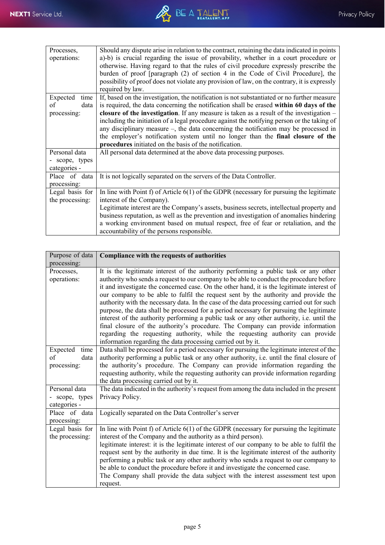| Processes,<br>operations:                       | Should any dispute arise in relation to the contract, retaining the data indicated in points<br>a)-b) is crucial regarding the issue of provability, whether in a court procedure or<br>otherwise. Having regard to that the rules of civil procedure expressly prescribe the<br>burden of proof [paragraph (2) of section 4 in the Code of Civil Procedure], the<br>possibility of proof does not violate any provision of law, on the contrary, it is expressly<br>required by law.                                                                                                                                     |
|-------------------------------------------------|---------------------------------------------------------------------------------------------------------------------------------------------------------------------------------------------------------------------------------------------------------------------------------------------------------------------------------------------------------------------------------------------------------------------------------------------------------------------------------------------------------------------------------------------------------------------------------------------------------------------------|
| Expected<br>time<br>οf<br>data<br>processing:   | If, based on the investigation, the notification is not substantiated or no further measure<br>is required, the data concerning the notification shall be erased within 60 days of the<br>closure of the investigation. If any measure is taken as a result of the investigation $-$<br>including the initiation of a legal procedure against the notifying person or the taking of<br>any disciplinary measure –, the data concerning the notification may be processed in<br>the employer's notification system until no longer than the final closure of the<br>procedures initiated on the basis of the notification. |
| Personal data<br>- scope, types<br>categories - | All personal data determined at the above data processing purposes.                                                                                                                                                                                                                                                                                                                                                                                                                                                                                                                                                       |
| Place of data<br>processing:                    | It is not logically separated on the servers of the Data Controller.                                                                                                                                                                                                                                                                                                                                                                                                                                                                                                                                                      |
| Legal basis for<br>the processing:              | In line with Point f) of Article $6(1)$ of the GDPR (necessary for pursuing the legitimate<br>interest of the Company).<br>Legitimate interest are the Company's assets, business secrets, intellectual property and<br>business reputation, as well as the prevention and investigation of anomalies hindering<br>a working environment based on mutual respect, free of fear or retaliation, and the<br>accountability of the persons responsible.                                                                                                                                                                      |

| Purpose of data                               | Compliance with the requests of authorities                                                                                                                                                                                                                                                                                                                                                                                                                                                                                                                                                                                                                                                                                                                                                                                                                                                    |
|-----------------------------------------------|------------------------------------------------------------------------------------------------------------------------------------------------------------------------------------------------------------------------------------------------------------------------------------------------------------------------------------------------------------------------------------------------------------------------------------------------------------------------------------------------------------------------------------------------------------------------------------------------------------------------------------------------------------------------------------------------------------------------------------------------------------------------------------------------------------------------------------------------------------------------------------------------|
| processing:                                   |                                                                                                                                                                                                                                                                                                                                                                                                                                                                                                                                                                                                                                                                                                                                                                                                                                                                                                |
| Processes,<br>operations:                     | It is the legitimate interest of the authority performing a public task or any other<br>authority who sends a request to our company to be able to conduct the procedure before<br>it and investigate the concerned case. On the other hand, it is the legitimate interest of<br>our company to be able to fulfil the request sent by the authority and provide the<br>authority with the necessary data. In the case of the data processing carried out for such<br>purpose, the data shall be processed for a period necessary for pursuing the legitimate<br>interest of the authority performing a public task or any other authority, i.e. until the<br>final closure of the authority's procedure. The Company can provide information<br>regarding the requesting authority, while the requesting authority can provide<br>information regarding the data processing carried out by it. |
| Expected<br>time<br>of<br>data<br>processing: | Data shall be processed for a period necessary for pursuing the legitimate interest of the<br>authority performing a public task or any other authority, i.e. until the final closure of<br>the authority's procedure. The Company can provide information regarding the<br>requesting authority, while the requesting authority can provide information regarding<br>the data processing carried out by it.                                                                                                                                                                                                                                                                                                                                                                                                                                                                                   |
| Personal data<br>scope, types<br>categories - | The data indicated in the authority's request from among the data included in the present<br>Privacy Policy.                                                                                                                                                                                                                                                                                                                                                                                                                                                                                                                                                                                                                                                                                                                                                                                   |
| Place of data<br>processing:                  | Logically separated on the Data Controller's server                                                                                                                                                                                                                                                                                                                                                                                                                                                                                                                                                                                                                                                                                                                                                                                                                                            |
| Legal basis for<br>the processing:            | In line with Point $f$ of Article $6(1)$ of the GDPR (necessary for pursuing the legitimate<br>interest of the Company and the authority as a third person).<br>legitimate interest: it is the legitimate interest of our company to be able to fulfil the<br>request sent by the authority in due time. It is the legitimate interest of the authority<br>performing a public task or any other authority who sends a request to our company to<br>be able to conduct the procedure before it and investigate the concerned case.<br>The Company shall provide the data subject with the interest assessment test upon<br>request.                                                                                                                                                                                                                                                            |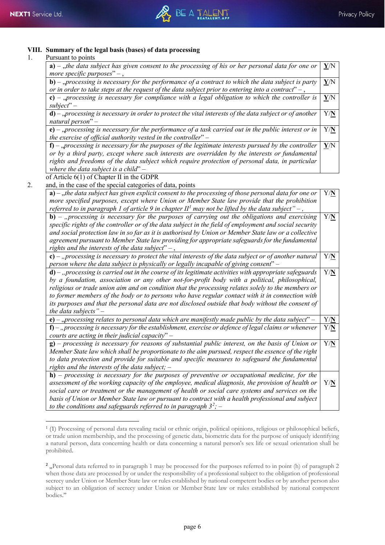## **VIII. Summary of the legal basis (bases) of data processing**

### 1. Pursuant to points

 $\overline{a}$ 

| a) – "the data subject has given consent to the processing of his or her personal data for one or<br>more specific purposes" $-$ ,                                                                                                                                                                                                                       | Y/N                     |
|----------------------------------------------------------------------------------------------------------------------------------------------------------------------------------------------------------------------------------------------------------------------------------------------------------------------------------------------------------|-------------------------|
| <b>b)</b> – "processing is necessary for the performance of a contract to which the data subject is party<br>or in order to take steps at the request of the data subject prior to entering into a contract" $-$ ,                                                                                                                                       | $\mathbf{Y}/\mathbf{N}$ |
| c) – "processing is necessary for compliance with a legal obligation to which the controller is<br>$subject" -$                                                                                                                                                                                                                                          | $\mathbf{Y}/\mathbf{N}$ |
| $d$ ) – "processing is necessary in order to protect the vital interests of the data subject or of another<br>natural person" $-$                                                                                                                                                                                                                        | Y/N                     |
| e) – "processing is necessary for the performance of a task carried out in the public interest or in<br>the exercise of official authority vested in the controller" $-$                                                                                                                                                                                 | Y/N                     |
| $f$ ) – "processing is necessary for the purposes of the legitimate interests pursued by the controller<br>or by a third party, except where such interests are overridden by the interests or fundamental<br>rights and freedoms of the data subject which require protection of personal data, in particular<br>where the data subject is a child" $-$ | Y/N                     |
| of Article $6(1)$ of Chapter II in the GDPR                                                                                                                                                                                                                                                                                                              |                         |
| and, in the case of the special categories of data, points                                                                                                                                                                                                                                                                                               |                         |
| $a)$ – ,,the data subject has given explicit consent to the processing of those personal data for one or<br>more specified purposes, except where Union or Member State law provide that the prohibition<br>referred to in paragraph 1 of article 9 in chapter $II1$ may not be lifted by the data subject" –,                                           | Y/N                     |
| $b$ ) – "processing is necessary for the purposes of carrying out the obligations and exercising<br>specific rights of the controller or of the data subject in the field of employment and social security<br>and social protection law in so far as it is authorised by Union or Member State law or a collective                                      | Y/N                     |

*agreement pursuant to Member State law providing for appropriate safeguards for the fundamental rights and the interests of the data subject*" – , **c)** – *"processing is necessary to protect the vital interests of the data subject or of another natural person where the data subject is physically or legally incapable of giving consent*" – Y/**N d)** – *"processing is carried out in the course of its legitimate activities with appropriate safeguards by a foundation, association or any other not-for-profit body with a political, philosophical, religious or trade union aim and on condition that the processing relates solely to the members or to former members of the body or to persons who have regular contact with it in connection with its purposes and that the personal data are not disclosed outside that body without the consent of the data subjects"* – Y/**N e**) – "*processing relates to personal data which are manifestly made public by the data subject*" – **f)** – *"processing is necessary for the establishment, exercise or defence of legal claims or whenever courts are acting in their judicial capacity*" – Y/**N g)** – *processing is necessary for reasons of substantial public interest, on the basis of Union or Member State law which shall be proportionate to the aim pursued, respect the essence of the right to data protection and provide for suitable and specific measures to safeguard the fundamental rights and the interests of the data subject;* – Y/**N h)** – *processing is necessary for the purposes of preventive or occupational medicine, for the assessment of the working capacity of the employee, medical diagnosis, the provision of health or social care or treatment or the management of health or social care systems and services on the basis of Union or Member State law or pursuant to contract with a health professional and subject*  Y/**N**

*to the conditions and safeguards referred to in paragraph 3[2](#page-5-1) ;* –

<span id="page-5-0"></span><sup>1</sup> (1) Processing of personal data revealing racial or ethnic origin, political opinions, religious or philosophical beliefs, or trade union membership, and the processing of genetic data, biometric data for the purpose of uniquely identifying a natural person, data concerning health or data concerning a natural person's sex life or sexual orientation shall be prohibited.

<span id="page-5-1"></span><sup>&</sup>lt;sup>2</sup>, Personal data referred to in paragraph 1 may be processed for the purposes referred to in point (h) of paragraph 2 when those data are processed by or under the responsibility of a professional subject to the obligation of professional secrecy under Union or Member State law or rules established by national competent bodies or by another person also subject to an obligation of secrecy under Union or Member State law or rules established by national competent bodies."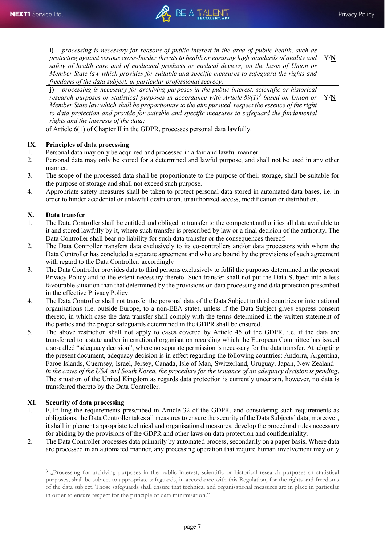

| $\mathbf{i}$ ) – processing is necessary for reasons of public interest in the area of public health, such as    |     |
|------------------------------------------------------------------------------------------------------------------|-----|
| protecting against serious cross-border threats to health or ensuring high standards of quality and              | Y/N |
| safety of health care and of medicinal products or medical devices, on the basis of Union or                     |     |
| Member State law which provides for suitable and specific measures to safeguard the rights and                   |     |
| freedoms of the data subject, in particular professional secrecy; $-$                                            |     |
| $\mathbf{j}$ ) – processing is necessary for archiving purposes in the public interest, scientific or historical |     |
| research purposes or statistical purposes in accordance with Article $89(1)^3$ based on Union or                 | Y/N |
| Member State law which shall be proportionate to the aim pursued, respect the essence of the right               |     |
| to data protection and provide for suitable and specific measures to safeguard the fundamental                   |     |
| rights and the interests of the data; $-$                                                                        |     |

of Article 6(1) of Chapter II in the GDPR, processes personal data lawfully.

# **IX. Principles of data processing**<br>1. **Personal data may only be acqui**

- Personal data may only be acquired and processed in a fair and lawful manner.
- 2. Personal data may only be stored for a determined and lawful purpose, and shall not be used in any other manner.
- 3. The scope of the processed data shall be proportionate to the purpose of their storage, shall be suitable for the purpose of storage and shall not exceed such purpose.
- 4. Appropriate safety measures shall be taken to protect personal data stored in automated data bases, i.e. in order to hinder accidental or unlawful destruction, unauthorized access, modification or distribution.

## **X. Data transfer**

- 1. The Data Controller shall be entitled and obliged to transfer to the competent authorities all data available to it and stored lawfully by it, where such transfer is prescribed by law or a final decision of the authority. The Data Controller shall bear no liability for such data transfer or the consequences thereof.
- 2. The Data Controller transfers data exclusively to its co-controllers and/or data processors with whom the Data Controller has concluded a separate agreement and who are bound by the provisions of such agreement with regard to the Data Controller; accordingly
- 3. The Data Controller provides data to third persons exclusively to fulfil the purposes determined in the present Privacy Policy and to the extent necessary thereto. Such transfer shall not put the Data Subject into a less favourable situation than that determined by the provisions on data processing and data protection prescribed in the effective Privacy Policy.
- 4. The Data Controller shall not transfer the personal data of the Data Subject to third countries or international organisations (i.e. outside Europe, to a non-EEA state), unless if the Data Subject gives express consent thereto, in which case the data transfer shall comply with the terms determined in the written statement of the parties and the proper safeguards determined in the GDPR shall be ensured.
- 5. The above restriction shall not apply to cases covered by Article 45 of the GDPR, i.e. if the data are transferred to a state and/or international organisation regarding which the European Committee has issued a so-called "adequacy decision", where no separate permission is necessary for the data transfer. At adopting the present document, adequacy decision is in effect regarding the following countries: Andorra, Argentina, Faroe Islands, Guernsey, Israel, Jersey, Canada, Isle of Man, Switzerland, Uruguay, Japan, New Zealand – *in the cases of the USA and South Korea, the procedure for the issuance of an adequacy decision is pending*. The situation of the United Kingdom as regards data protection is currently uncertain, however, no data is transferred thereto by the Data Controller.

### **XI. Security of data processing**

 $\overline{a}$ 

- 1. Fulfilling the requirements prescribed in Article 32 of the GDPR, and considering such requirements as obligations, the Data Controller takes all measures to ensure the security of the Data Subjects' data, moreover, it shall implement appropriate technical and organisational measures, develop the procedural rules necessary for abiding by the provisions of the GDPR and other laws on data protection and confidentiality.
- <span id="page-6-0"></span>2. The Data Controller processes data primarily by automated process, secondarily on a paper basis. Where data are processed in an automated manner, any processing operation that require human involvement may only

<sup>&</sup>lt;sup>3</sup>, Processing for archiving purposes in the public interest, scientific or historical research purposes or statistical purposes, shall be subject to appropriate safeguards, in accordance with this Regulation, for the rights and freedoms of the data subject. Those safeguards shall ensure that technical and organisational measures are in place in particular in order to ensure respect for the principle of data minimisation."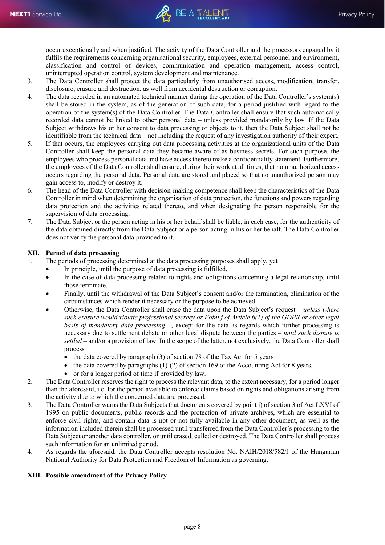occur exceptionally and when justified. The activity of the Data Controller and the processors engaged by it fulfils the requirements concerning organisational security, employees, external personnel and environment, classification and control of devices, communication and operation management, access control, uninterrupted operation control, system development and maintenance.

- 3. The Data Controller shall protect the data particularly from unauthorised access, modification, transfer, disclosure, erasure and destruction, as well from accidental destruction or corruption.
- 4. The data recorded in an automated technical manner during the operation of the Data Controller's system(s) shall be stored in the system, as of the generation of such data, for a period justified with regard to the operation of the system(s) of the Data Controller. The Data Controller shall ensure that such automatically recorded data cannot be linked to other personal data – unless provided mandatorily by law. If the Data Subject withdraws his or her consent to data processing or objects to it, then the Data Subject shall not be identifiable from the technical data – not including the request of any investigation authority of their expert.
- 5. If that occurs, the employees carrying out data processing activities at the organizational units of the Data Controller shall keep the personal data they became aware of as business secrets. For such purpose, the employees who process personal data and have access thereto make a confidentiality statement. Furthermore, the employees of the Data Controller shall ensure, during their work at all times, that no unauthorized access occurs regarding the personal data. Personal data are stored and placed so that no unauthorized person may gain access to, modify or destroy it.
- 6. The head of the Data Controller with decision-making competence shall keep the characteristics of the Data Controller in mind when determining the organisation of data protection, the functions and powers regarding data protection and the activities related thereto, and when designating the person responsible for the supervision of data processing.
- 7. The Data Subject or the person acting in his or her behalf shall be liable, in each case, for the authenticity of the data obtained directly from the Data Subject or a person acting in his or her behalf. The Data Controller does not verify the personal data provided to it.

### **XII. Period of data processing**

1. The periods of processing determined at the data processing purposes shall apply, yet

- In principle, until the purpose of data processing is fulfilled,
- In the case of data processing related to rights and obligations concerning a legal relationship, until those terminate.
- Finally, until the withdrawal of the Data Subject's consent and/or the termination, elimination of the circumstances which render it necessary or the purpose to be achieved.
- Otherwise, the Data Controller shall erase the data upon the Data Subject's request *unless where such erasure would violate professional secrecy or Point f of Article 6(1) of the GDPR or other legal basis of mandatory data processing* –, except for the data as regards which further processing is necessary due to settlement debate or other legal dispute between the parties – *until such dispute is settled* – and/or a provision of law. In the scope of the latter, not exclusively, the Data Controller shall process
	- the data covered by paragraph (3) of section 78 of the Tax Act for 5 years
	- the data covered by paragraphs  $(1)-(2)$  of section 169 of the Accounting Act for 8 years,
	- or for a longer period of time if provided by law.
- 2. The Data Controller reserves the right to process the relevant data, to the extent necessary, for a period longer than the aforesaid, i.e. for the period available to enforce claims based on rights and obligations arising from the activity due to which the concerned data are processed.
- 3. The Data Controller warns the Data Subjects that documents covered by point j) of section 3 of Act LXVI of 1995 on public documents, public records and the protection of private archives, which are essential to enforce civil rights, and contain data is not or not fully available in any other document, as well as the information included therein shall be processed until transferred from the Data Controller's processing to the Data Subject or another data controller, or until erased, culled or destroyed. The Data Controller shall process such information for an unlimited period.
- 4. As regards the aforesaid, the Data Controller accepts resolution No. NAIH/2018/582/J of the Hungarian National Authority for Data Protection and Freedom of Information as governing.

### **XIII. Possible amendment of the Privacy Policy**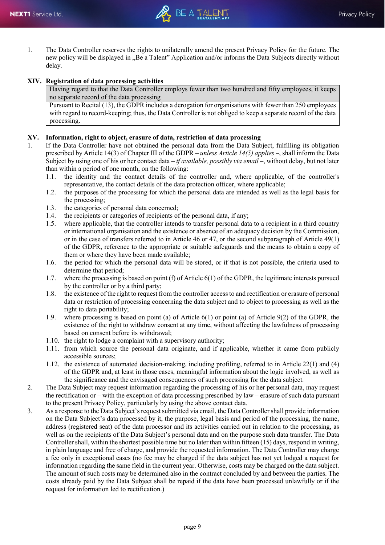1. The Data Controller reserves the rights to unilaterally amend the present Privacy Policy for the future. The new policy will be displayed in "Be a Talent" Application and/or informs the Data Subjects directly without delay.

### **XIV. Registration of data processing activities**

Having regard to that the Data Controller employs fewer than two hundred and fifty employees, it keeps no separate record of the data processing

Pursuant to Recital (13), the GDPR includes a derogation for organisations with fewer than 250 employees with regard to record-keeping; thus, the Data Controller is not obliged to keep a separate record of the data processing.

### **XV. Information, right to object, erasure of data, restriction of data processing**

- 1. If the Data Controller have not obtained the personal data from the Data Subject, fulfilling its obligation prescribed by Article 14(3) of Chapter III of the GDPR – *unless Article 14(5) applies* –, shall inform the Data Subject by using one of his or her contact data – *if available, possibly via email* –, without delay, but not later than within a period of one month, on the following:
	- 1.1. the identity and the contact details of the controller and, where applicable, of the controller's representative, the contact details of the data protection officer, where applicable;
	- 1.2. the purposes of the processing for which the personal data are intended as well as the legal basis for the processing;
	- 1.3. the categories of personal data concerned;
	- 1.4. the recipients or categories of recipients of the personal data, if any;
	- 1.5. where applicable, that the controller intends to transfer personal data to a recipient in a third country or international organisation and the existence or absence of an adequacy decision by the Commission, or in the case of transfers referred to in Article 46 or 47, or the second subparagraph of Article 49(1) of the GDPR, reference to the appropriate or suitable safeguards and the means to obtain a copy of them or where they have been made available;
	- 1.6. the period for which the personal data will be stored, or if that is not possible, the criteria used to determine that period;
	- 1.7. where the processing is based on point (f) of Article 6(1) of the GDPR, the legitimate interests pursued by the controller or by a third party;
	- 1.8. the existence of the right to request from the controller access to and rectification or erasure of personal data or restriction of processing concerning the data subject and to object to processing as well as the right to data portability;
	- 1.9. where processing is based on point (a) of Article 6(1) or point (a) of Article 9(2) of the GDPR, the existence of the right to withdraw consent at any time, without affecting the lawfulness of processing based on consent before its withdrawal;
	- 1.10. the right to lodge a complaint with a supervisory authority;
	- 1.11. from which source the personal data originate, and if applicable, whether it came from publicly accessible sources;
	- 1.12. the existence of automated decision-making, including profiling, referred to in Article 22(1) and (4) of the GDPR and, at least in those cases, meaningful information about the logic involved, as well as the significance and the envisaged consequences of such processing for the data subject.
- 2. The Data Subject may request information regarding the processing of his or her personal data, may request the rectification or – with the exception of data processing prescribed by law – erasure of such data pursuant to the present Privacy Policy, particularly by using the above contact data.
- 3. As a response to the Data Subject's request submitted via email, the Data Controller shall provide information on the Data Subject's data processed by it, the purpose, legal basis and period of the processing, the name, address (registered seat) of the data processor and its activities carried out in relation to the processing, as well as on the recipients of the Data Subject's personal data and on the purpose such data transfer. The Data Controller shall, within the shortest possible time but no later than within fifteen (15) days, respond in writing, in plain language and free of charge, and provide the requested information. The Data Controller may charge a fee only in exceptional cases (no fee may be charged if the data subject has not yet lodged a request for information regarding the same field in the current year. Otherwise, costs may be charged on the data subject. The amount of such costs may be determined also in the contract concluded by and between the parties. The costs already paid by the Data Subject shall be repaid if the data have been processed unlawfully or if the request for information led to rectification.)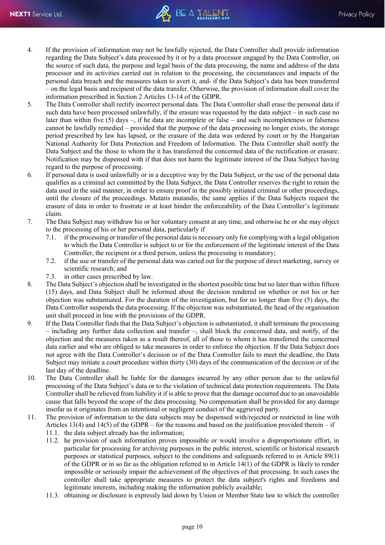- 4. If the provision of information may not be lawfully rejected, the Data Controller shall provide information regarding the Data Subject's data processed by it or by a data processor engaged by the Data Controller, on the source of such data, the purpose and legal basis of the data processing, the name and address of the data processor and its activities carried out in relation to the processing, the circumstances and impacts of the personal data breach and the measures taken to avert it, and- if the Data Subject's data has been transferred – on the legal basis and recipient of the data transfer. Otherwise, the provision of information shall cover the information prescribed in Section 2 Articles 13-14 of the GDPR.
- 5. The Data Controller shall rectify incorrect personal data. The Data Controller shall erase the personal data if such data have been processed unlawfully, if the erasure was requested by the data subject – in such case no later than within five (5) days –, if he data are incomplete or false – and such incompleteness or falseness cannot be lawfully remedied – provided that the purpose of the data processing no longer exists, the storage period prescribed by law has lapsed, or the erasure of the data was ordered by court or by the Hungarian National Authority for Data Protection and Freedom of Information. The Data Controller shall notify the Data Subject and the those to whom the it has transferred the concerned data of the rectification or erasure. Notification may be dispensed with if that does not harm the legitimate interest of the Data Subject having regard to the purpose of processing.
- 6. If personal data is used unlawfully or in a deceptive way by the Data Subject, or the use of the personal data qualifies as a criminal act committed by the Data Subject, the Data Controller reserves the right to retain the data used in the said manner, in order to ensure proof in the possibly initiated criminal or other proceedings, until the closure of the proceedings. Mutatis mutandis, the same applies if the Data Subjects request the erasure of data in order to frustrate or at least hinder the enforceability of the Data Controller's legitimate claim.
- 7. The Data Subject may withdraw his or her voluntary consent at any time, and otherwise he or she may object to the processing of his or her personal data, particularly if
	- 7.1. if the processing or transfer of the personal data is necessary only for complying with a legal obligation to which the Data Controller is subject to or for the enforcement of the legitimate interest of the Data Controller, the recipient or a third person, unless the processing is mandatory;
	- 7.2. if the use or transfer of the personal data was caried out for the purpose of direct marketing, survey or scientific research; and
	- 7.3. in other cases prescribed by law.
- 8. The Data Subject's objection shall be investigated in the shortest possible time but no later than within fifteen (15) days, and Data Subject shall be informed about the decision rendered on whether or not his or her objection was substantiated. For the duration of the investigation, but for no longer than five (5) days, the Data Controller suspends the data processing. If the objection was substantiated, the head of the organisation unit shall proceed in line with the provisions of the GDPR.
- 9. If the Data Controller finds that the Data Subject's objection is substantiated, it shall terminate the processing – including any further data collection and transfer –, shall block the concerned data, and notify, of the objection and the measures taken as a result thereof, all of those to whom it has transferred the concerned data earlier and who are obliged to take measures in order to enforce the objection. If the Data Subject does not agree with the Data Controller's decision or of the Data Controller fails to meet the deadline, the Data Subject may initiate a court procedure within thirty (30) days of the communication of the decision or of the last day of the deadline.
- 10. The Data Controller shall be liable for the damages incurred by any other person due to the unlawful processing of the Data Subject's data or to the violation of technical data protection requirements. The Data Controller shall be relieved from liability it if is able to prove that the damage occurred due to an unavoidable cause that falls beyond the scope of the data processing. No compensation shall be provided for any damage insofar as it originates from an intentional or negligent conduct of the aggrieved party.
- 11. The provision of information to the data subjects may be dispensed with/rejected or restricted in line with Articles 13(4) and 14(5) of the GDPR – for the reasons and based on the justification provided therein – if
	- 11.1. the data subject already has the information;
	- 11.2. he provision of such information proves impossible or would involve a disproportionate effort, in particular for processing for archiving purposes in the public interest, scientific or historical research purposes or statistical purposes, subject to the conditions and safeguards referred to in Article 89(1) of the GDPR or in so far as the obligation referred to in Article 14(1) of the GDPR is likely to render impossible or seriously impair the achievement of the objectives of that processing. In such cases the controller shall take appropriate measures to protect the data subject's rights and freedoms and legitimate interests, including making the information publicly available;
	- 11.3. obtaining or disclosure is expressly laid down by Union or Member State law to which the controller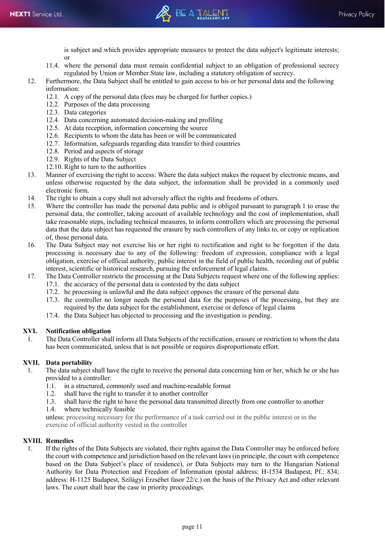

is subject and which provides appropriate measures to protect the data subject's legitimate interests; or

- 11.4. where the personal data must remain confidential subject to an obligation of professional secrecy regulated by Union or Member State law, including a statutory obligation of secrecy.
- 12. Furthermore, the Data Subject shall be entitled to gain access to his or her personal data and the following information:
	- 12.1. A copy of the personal data (fees may be charged for further copies.)
	- 12.2. Purposes of the data processing
	- 12.3. Data categories
	- 12.4. Data concerning automated decision-making and profiling
	- 12.5. At data reception, information concerning the source
	- 12.6. Recipients to whom the data has been or will be communicated
	- 12.7. Information, safeguards regarding data transfer to third countries
	- 12.8. Period and aspects of storage
	- 12.9. Rights of the Data Subject
	- 12.10. Right to turn to the authorities
- 13. Manner of exercising the right to access: Where the data subject makes the request by electronic means, and unless otherwise requested by the data subject, the information shall be provided in a commonly used electronic form.
- 14. The right to obtain a copy shall not adversely affect the rights and freedoms of others.
- 15. Where the controller has made the personal data public and is obliged pursuant to paragraph 1 to erase the personal data, the controller, taking account of available technology and the cost of implementation, shall take reasonable steps, including technical measures, to inform controllers which are processing the personal data that the data subject has requested the erasure by such controllers of any links to, or copy or replication of, those personal data.
- 16. The Data Subject may not exercise his or her right to rectification and right to be forgotten if the data processing is necessary due to any of the following: freedom of expression, compliance with a legal obligation, exercise of official authority, public interest in the field of public health, recording out of public interest, scientific or historical research, pursuing the enforcement of legal claims.
- 17. The Data Controller restricts the processing at the Data Subjects request where one of the following applies:
	- 17.1. the accuracy of the personal data is contested by the data subject
	- 17.2. he processing is unlawful and the data subject opposes the erasure of the personal data
	- 17.3. the controller no longer needs the personal data for the purposes of the processing, but they are required by the data subject for the establishment, exercise or defence of legal claims
	- 17.4. the Data Subject has objected to processing and the investigation is pending.

### **XVI. Notification obligation**

1. The Data Controller shall inform all Data Subjects of the rectification, erasure or restriction to whom the data has been communicated, unless that is not possible or requires disproportionate effort.

### **XVII. Data portability**

- 1. The data subject shall have the right to receive the personal data concerning him or her, which he or she has provided to a controller:<br>1.1. in a structured. co
	- in a structured, commonly used and machine-readable format
	- 1.2. shall have the right to transfer it to another controller
	- 1.3. shall have the right to have the personal data transmitted directly from one controller to another
	- 1.4. where technically feasible

unless: processing necessary for the performance of a task carried out in the public interest or in the exercise of official authority vested in the controller

### **XVIII. Remedies**

1. If the rights of the Data Subjects are violated, their rights against the Data Controller may be enforced before the court with competence and jurisdiction based on the relevant laws (in principle, the court with competence based on the Data Subject's place of residence), or Data Subjects may turn to the Hungarian National Authority for Data Protection and Freedom of Information (postal address: H-1534 Budapest, Pf.: 834; address: H-1125 Budapest, Szilágyi Erzsébet fasor 22/c.) on the basis of the Privacy Act and other relevant laws. The court shall hear the case in priority proceedings.